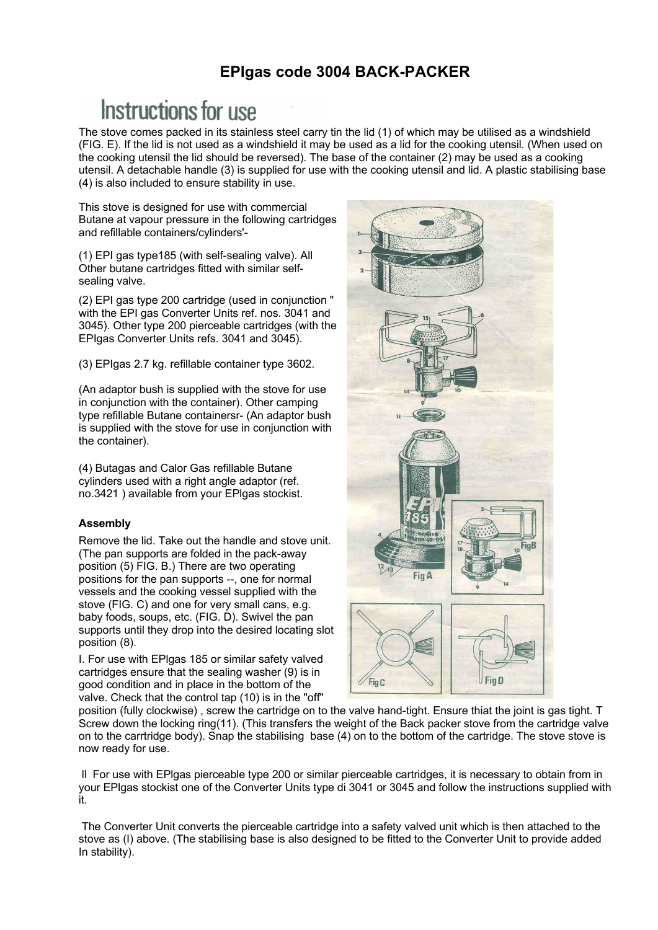# **EPIgas code 3004 BACK-PACKER**

# Instructions for use

The stove comes packed in its stainless steel carry tin the lid (1) of which may be utilised as a windshield (FIG. E). If the lid is not used as a windshield it may be used as a lid for the cooking utensil. (When used on the cooking utensil the lid should be reversed). The base of the container (2) may be used as a cooking utensil. A detachable handle (3) is supplied for use with the cooking utensil and lid. A plastic stabilising base (4) is also included to ensure stability in use.

This stove is designed for use with commercial Butane at vapour pressure in the following cartridges and refillable containers/cylinders'-

(1) EPI gas type185 (with self-sealing valve). All Other butane cartridges fitted with similar selfsealing valve.

(2) EPI gas type 200 cartridge (used in conjunction " with the EPI gas Converter Units ref. nos. 3041 and 3045). Other type 200 pierceable cartridges (with the EPIgas Converter Units refs. 3041 and 3045).

(3) EPIgas 2.7 kg. refillable container type 3602.

(An adaptor bush is supplied with the stove for use in conjunction with the container). Other camping type refillable Butane containersr- (An adaptor bush is supplied with the stove for use in conjunction with the container).

(4) Butagas and Calor Gas refillable Butane cylinders used with a right angle adaptor (ref. no.3421 ) available from your EPlgas stockist.

## **Assembly**

Remove the lid. Take out the handle and stove unit. (The pan supports are folded in the pack-away position (5) FIG. B.) There are two operating positions for the pan supports --, one for normal vessels and the cooking vessel supplied with the stove (FIG. C) and one for very small cans, e.g. baby foods, soups, etc. (FIG. D). Swivel the pan supports until they drop into the desired locating slot position (8).

I. For use with EPlgas 185 or similar safety valved cartridges ensure that the sealing washer (9) is in good condition and in place in the bottom of the valve. Check that the control tap (10) is in the "off"



position (fully clockwise) , screw the cartridge on to the valve hand-tight. Ensure thiat the joint is gas tight. T Screw down the locking ring(11). (This transfers the weight of the Back packer stove from the cartridge valve on to the carrtridge body). Snap the stabilising base (4) on to the bottom of the cartridge. The stove stove is now ready for use.

ll For use with EPlgas pierceable type 200 or similar pierceable cartridges, it is necessary to obtain from in your EPlgas stockist one of the Converter Units type di 3041 or 3045 and follow the instructions supplied with it.

The Converter Unit converts the pierceable cartridge into a safety valved unit which is then attached to the stove as (I) above. (The stabilising base is also designed to be fitted to the Converter Unit to provide added In stability).